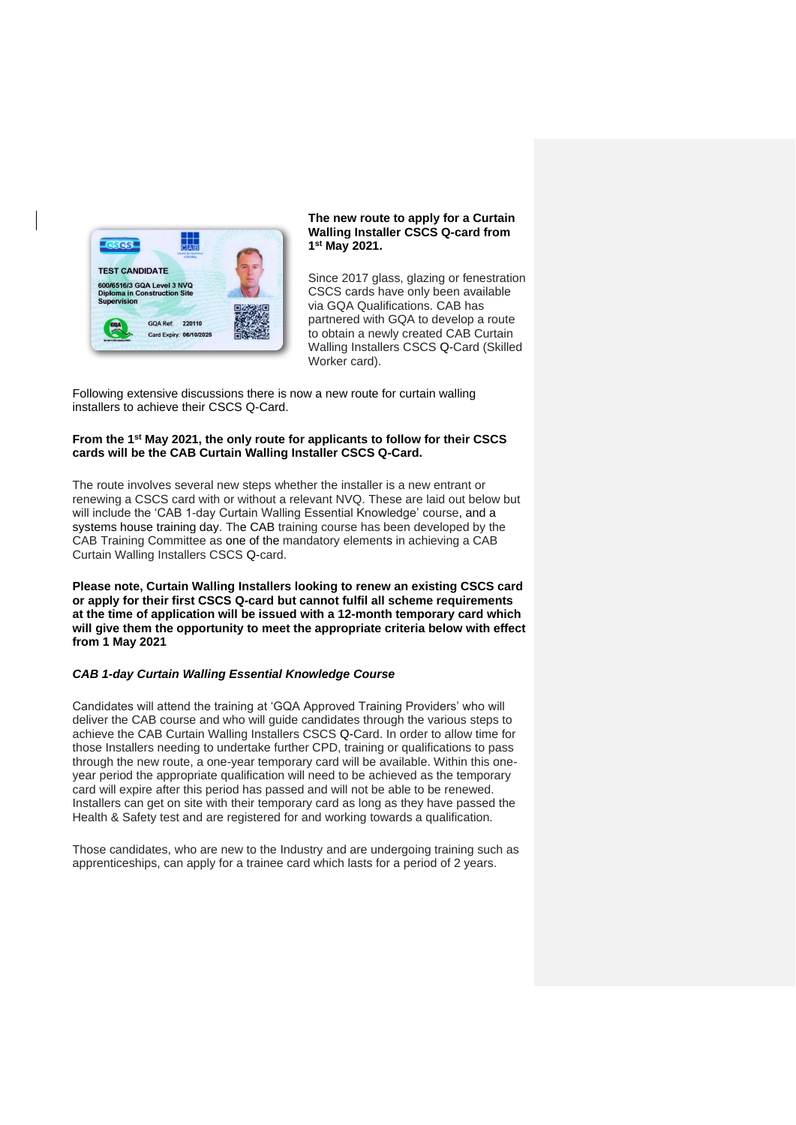

#### **The new route to apply for a Curtain Walling Installer CSCS Q-card from 1 st May 2021.**

Since 2017 glass, glazing or fenestration CSCS cards have only been available via GQA Qualifications. CAB has partnered with GQA to develop a route to obtain a newly created CAB Curtain Walling Installers CSCS Q-Card (Skilled Worker card).

Following extensive discussions there is now a new route for curtain walling installers to achieve their CSCS Q-Card.

### **From the 1st May 2021, the only route for applicants to follow for their CSCS cards will be the CAB Curtain Walling Installer CSCS Q-Card.**

The route involves several new steps whether the installer is a new entrant or renewing a CSCS card with or without a relevant NVQ. These are laid out below but will include the 'CAB 1-day Curtain Walling Essential Knowledge' course, and a systems house training day. The CAB training course has been developed by the CAB Training Committee as one of the mandatory elements in achieving a CAB Curtain Walling Installers CSCS Q-card.

**Please note, Curtain Walling Installers looking to renew an existing CSCS card or apply for their first CSCS Q-card but cannot fulfil all scheme requirements at the time of application will be issued with a 12-month temporary card which will give them the opportunity to meet the appropriate criteria below with effect from 1 May 2021**

### *CAB 1-day Curtain Walling Essential Knowledge Course*

Candidates will attend the training at 'GQA Approved Training Providers' who will deliver the CAB course and who will guide candidates through the various steps to achieve the CAB Curtain Walling Installers CSCS Q-Card. In order to allow time for those Installers needing to undertake further CPD, training or qualifications to pass through the new route, a one-year temporary card will be available. Within this oneyear period the appropriate qualification will need to be achieved as the temporary card will expire after this period has passed and will not be able to be renewed. Installers can get on site with their temporary card as long as they have passed the Health & Safety test and are registered for and working towards a qualification.

Those candidates, who are new to the Industry and are undergoing training such as apprenticeships, can apply for a trainee card which lasts for a period of 2 years.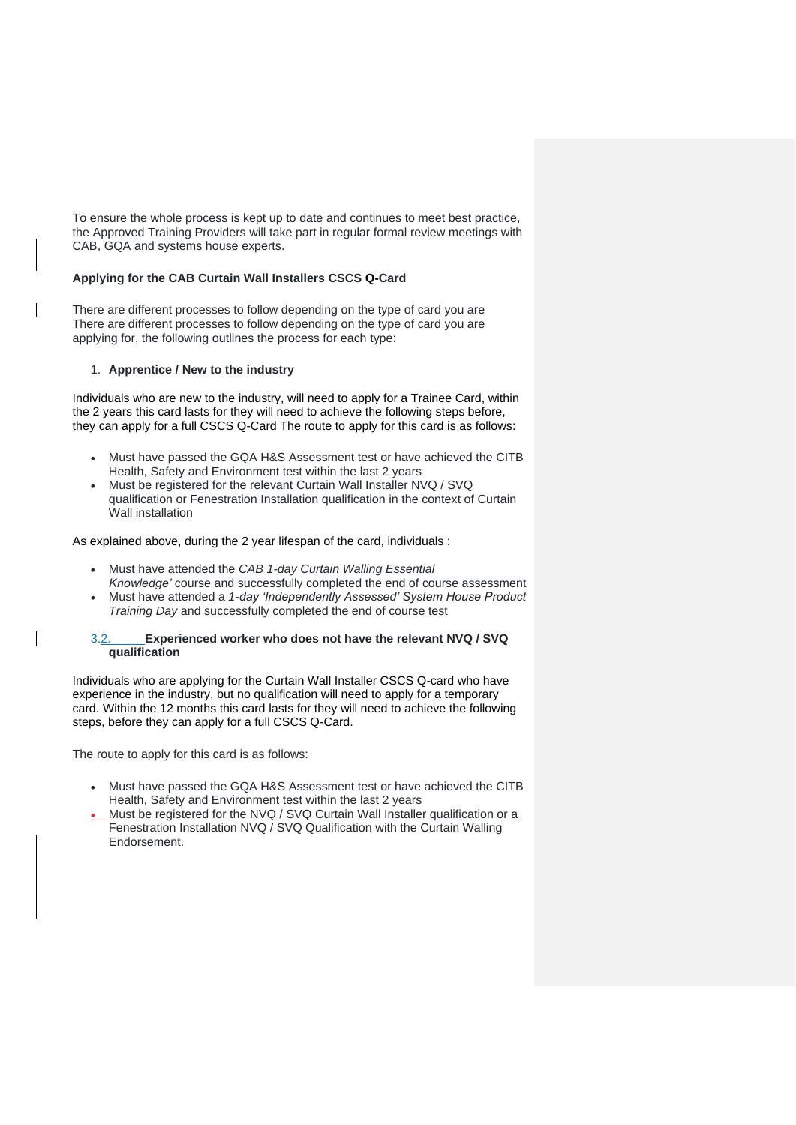To ensure the whole process is kept up to date and continues to meet best practice, the Approved Training Providers will take part in regular formal review meetings with CAB, GQA and systems house experts.

## **Applying for the CAB Curtain Wall Installers CSCS Q-Card**

There are different processes to follow depending on the type of card you are There are different processes to follow depending on the type of card you are applying for, the following outlines the process for each type:

### 1. **Apprentice / New to the industry**

Individuals who are new to the industry, will need to apply for a Trainee Card, within the 2 years this card lasts for they will need to achieve the following steps before, they can apply for a full CSCS Q-Card The route to apply for this card is as follows:

- Must have passed the GQA H&S Assessment test or have achieved the CITB Health, Safety and Environment test within the last 2 years
- Must be registered for the relevant Curtain Wall Installer NVQ / SVQ qualification or Fenestration Installation qualification in the context of Curtain Wall installation

As explained above, during the 2 year lifespan of the card, individuals :

- Must have attended the *CAB 1-day Curtain Walling Essential Knowledge'* course and successfully completed the end of course assessment
- Must have attended a *1-day 'Independently Assessed' System House Product Training Day* and successfully completed the end of course test

### 3.2. **Experienced worker who does not have the relevant NVQ / SVQ qualification**

Individuals who are applying for the Curtain Wall Installer CSCS Q-card who have experience in the industry, but no qualification will need to apply for a temporary card. Within the 12 months this card lasts for they will need to achieve the following steps, before they can apply for a full CSCS Q-Card.

The route to apply for this card is as follows:

- Must have passed the GQA H&S Assessment test or have achieved the CITB Health, Safety and Environment test within the last 2 years
- Must be registered for the NVQ / SVQ Curtain Wall Installer qualification or a Fenestration Installation NVQ / SVQ Qualification with the Curtain Walling Endorsement.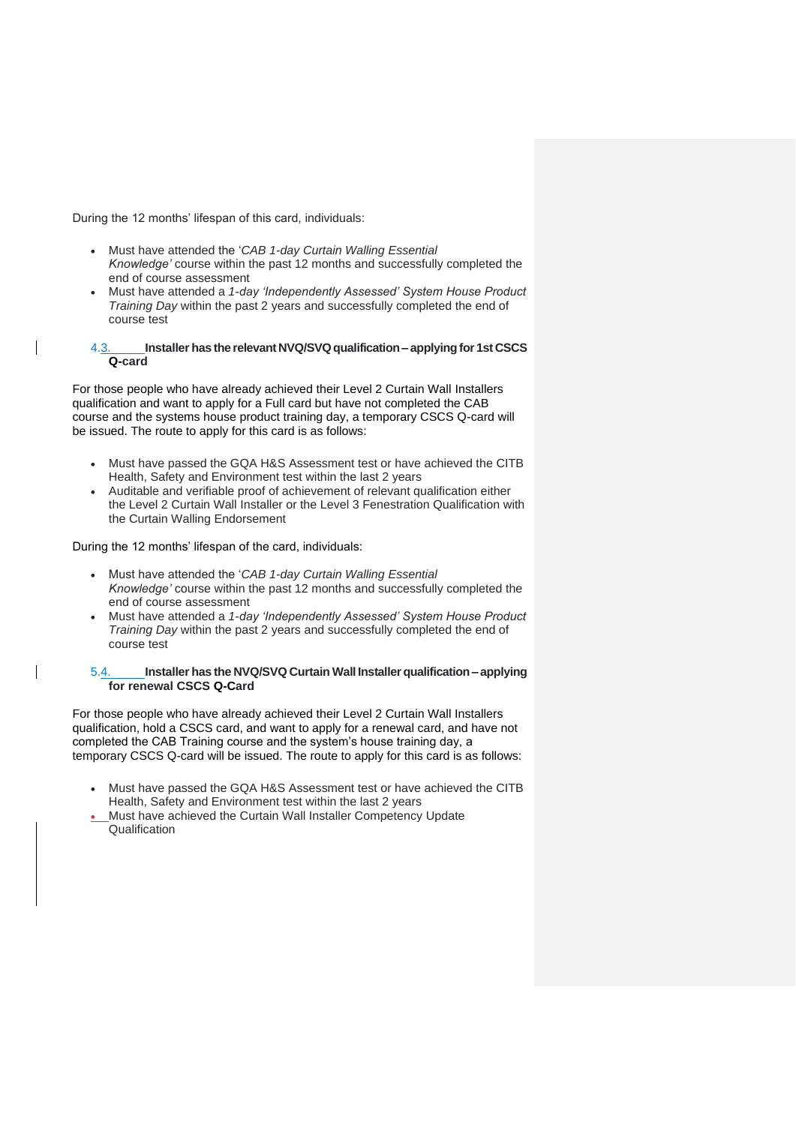During the 12 months' lifespan of this card, individuals:

- Must have attended the '*CAB 1-day Curtain Walling Essential Knowledge'* course within the past 12 months and successfully completed the end of course assessment
- Must have attended a *1-day 'Independently Assessed' System House Product Training Day* within the past 2 years and successfully completed the end of course test

## 4.3. **Installer has the relevant NVQ/SVQ qualification – applying for 1st CSCS Q-card**

For those people who have already achieved their Level 2 Curtain Wall Installers qualification and want to apply for a Full card but have not completed the CAB course and the systems house product training day, a temporary CSCS Q-card will be issued. The route to apply for this card is as follows:

- Must have passed the GQA H&S Assessment test or have achieved the CITB Health, Safety and Environment test within the last 2 years
- Auditable and verifiable proof of achievement of relevant qualification either the Level 2 Curtain Wall Installer or the Level 3 Fenestration Qualification with the Curtain Walling Endorsement

During the 12 months' lifespan of the card, individuals:

- Must have attended the '*CAB 1-day Curtain Walling Essential Knowledge'* course within the past 12 months and successfully completed the end of course assessment
- Must have attended a *1-day 'Independently Assessed' System House Product Training Day* within the past 2 years and successfully completed the end of course test

# 5.4. **Installer has the NVQ/SVQ Curtain Wall Installer qualification – applying for renewal CSCS Q-Card**

For those people who have already achieved their Level 2 Curtain Wall Installers qualification, hold a CSCS card, and want to apply for a renewal card, and have not completed the CAB Training course and the system's house training day, a temporary CSCS Q-card will be issued. The route to apply for this card is as follows:

- Must have passed the GQA H&S Assessment test or have achieved the CITB Health, Safety and Environment test within the last 2 years
- Must have achieved the Curtain Wall Installer Competency Update **Qualification**